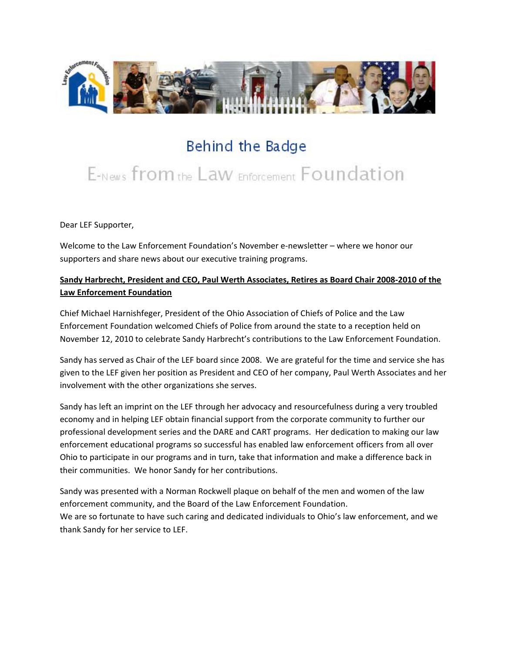

# Behind the Badge

# E-News from the Law Enforcement Foundation

Dear LEF Supporter,

Welcome to the Law Enforcement Foundation's November e-newsletter – where we honor our supporters and share news about our executive training programs.

## **Sandy Harbrecht, President and CEO, Paul Werth Associates, Retires as Board Chair 2008-2010 of the Law Enforcement Foundation**

Chief Michael Harnishfeger, President of the Ohio Association of Chiefs of Police and the Law Enforcement Foundation welcomed Chiefs of Police from around the state to a reception held on November 12, 2010 to celebrate Sandy Harbrecht's contributions to the Law Enforcement Foundation.

Sandy has served as Chair of the LEF board since 2008. We are grateful for the time and service she has given to the LEF given her position as President and CEO of her company, Paul Werth Associates and her involvement with the other organizations she serves.

Sandy has left an imprint on the LEF through her advocacy and resourcefulness during a very troubled economy and in helping LEF obtain financial support from the corporate community to further our professional development series and the DARE and CART programs. Her dedication to making our law enforcement educational programs so successful has enabled law enforcement officers from all over Ohio to participate in our programs and in turn, take that information and make a difference back in their communities. We honor Sandy for her contributions.

Sandy was presented with a Norman Rockwell plaque on behalf of the men and women of the law enforcement community, and the Board of the Law Enforcement Foundation. We are so fortunate to have such caring and dedicated individuals to Ohio's law enforcement, and we thank Sandy for her service to LEF.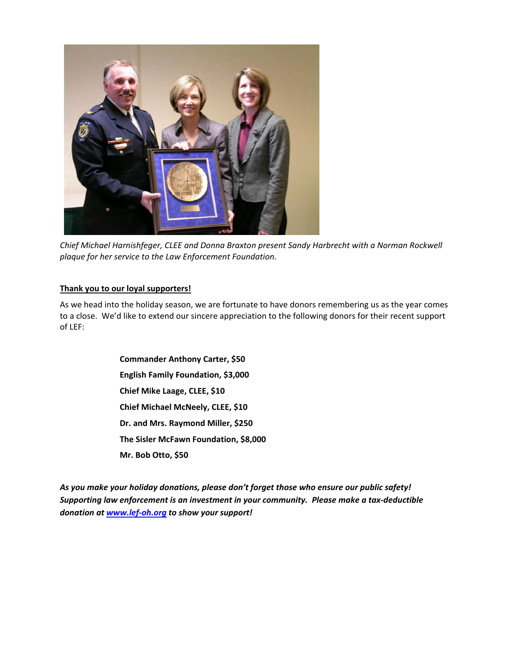

*Chief Michael Harnishfeger, CLEE and Donna Braxton present Sandy Harbrecht with a Norman Rockwell plaque for her service to the Law Enforcement Foundation.*

#### **Thank you to our loyal supporters!**

As we head into the holiday season, we are fortunate to have donors remembering us as the year comes to a close. We'd like to extend our sincere appreciation to the following donors for their recent support of LEF:

> **Commander Anthony Carter, \$50 English Family Foundation, \$3,000 Chief Mike Laage, CLEE, \$10 Chief Michael McNeely, CLEE, \$10 Dr. and Mrs. Raymond Miller, \$250 The Sisler McFawn Foundation, \$8,000 Mr. Bob Otto, \$50**

*As you make your holiday donations, please don't forget those who ensure our public safety! Supporting law enforcement is an investment in your community. Please make a tax-deductible donation a[t www.lef-oh.org](http://www.lef-oh.org/) to show your support!*